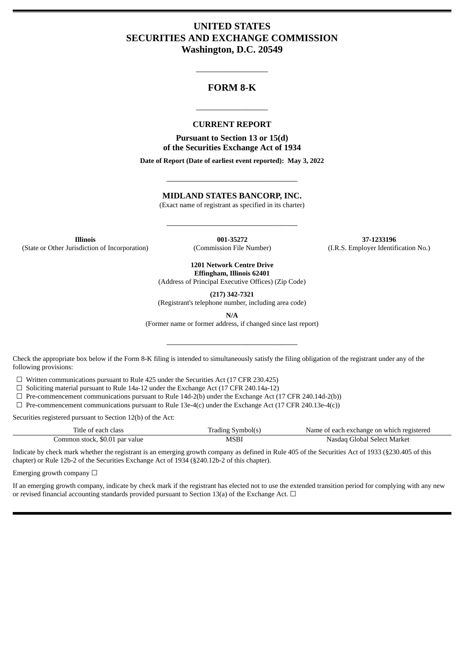# **UNITED STATES SECURITIES AND EXCHANGE COMMISSION Washington, D.C. 20549**

## **FORM 8-K**

\_\_\_\_\_\_\_\_\_\_\_\_\_\_\_\_\_

#### **CURRENT REPORT**

\_\_\_\_\_\_\_\_\_\_\_\_\_\_\_\_\_

**Pursuant to Section 13 or 15(d) of the Securities Exchange Act of 1934**

**Date of Report (Date of earliest event reported): May 3, 2022**

## **MIDLAND STATES BANCORP, INC.**

\_\_\_\_\_\_\_\_\_\_\_\_\_\_\_\_\_\_\_\_\_\_\_\_\_\_\_\_\_\_\_

(Exact name of registrant as specified in its charter)

\_\_\_\_\_\_\_\_\_\_\_\_\_\_\_\_\_\_\_\_\_\_\_\_\_\_\_\_\_\_\_

**Illinois 001-35272 37-1233196** (State or Other Jurisdiction of Incorporation) (Commission File Number) (I.R.S. Employer Identification No.)

> **1201 Network Centre Drive Effingham, Illinois 62401**

(Address of Principal Executive Offices) (Zip Code)

**(217) 342-7321**

(Registrant's telephone number, including area code)

**N/A**

(Former name or former address, if changed since last report)

\_\_\_\_\_\_\_\_\_\_\_\_\_\_\_\_\_\_\_\_\_\_\_\_\_\_\_\_\_\_\_

Check the appropriate box below if the Form 8-K filing is intended to simultaneously satisfy the filing obligation of the registrant under any of the following provisions:

☐ Written communications pursuant to Rule 425 under the Securities Act (17 CFR 230.425)

 $\Box$  Soliciting material pursuant to Rule 14a-12 under the Exchange Act (17 CFR 240.14a-12)

 $\Box$  Pre-commencement communications pursuant to Rule 14d-2(b) under the Exchange Act (17 CFR 240.14d-2(b))

 $\Box$  Pre-commencement communications pursuant to Rule 13e-4(c) under the Exchange Act (17 CFR 240.13e-4(c))

Securities registered pursuant to Section 12(b) of the Act:

| Title of each class            | Trading Symbol(s) | Name of each exchange on which registered |
|--------------------------------|-------------------|-------------------------------------------|
| Common stock, \$0.01 par value | MSBI              | Nasdag Global Select Market               |

Indicate by check mark whether the registrant is an emerging growth company as defined in Rule 405 of the Securities Act of 1933 (§230.405 of this chapter) or Rule 12b-2 of the Securities Exchange Act of 1934 (§240.12b-2 of this chapter).

Emerging growth company  $\Box$ 

If an emerging growth company, indicate by check mark if the registrant has elected not to use the extended transition period for complying with any new or revised financial accounting standards provided pursuant to Section 13(a) of the Exchange Act.  $\Box$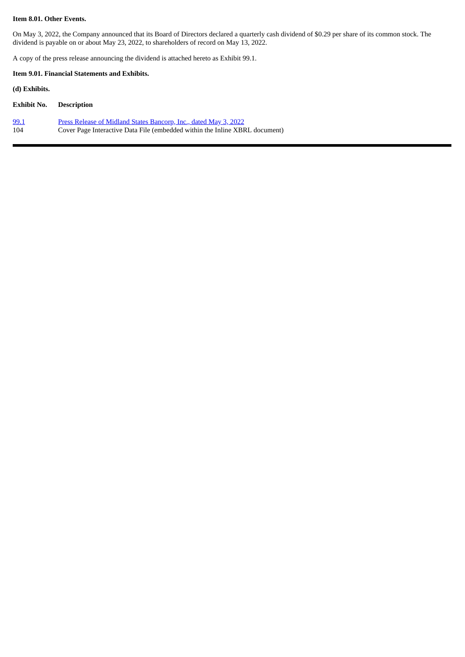#### **Item 8.01. Other Events.**

On May 3, 2022, the Company announced that its Board of Directors declared a quarterly cash dividend of \$0.29 per share of its common stock. The dividend is payable on or about May 23, 2022, to shareholders of record on May 13, 2022.

A copy of the press release announcing the dividend is attached hereto as Exhibit 99.1.

#### **Item 9.01. Financial Statements and Exhibits.**

**(d) Exhibits.**

| <b>Exhibit No.</b><br><b>Description</b> |  |
|------------------------------------------|--|
|------------------------------------------|--|

| 99.1 | <u>Press Release of Midland States Bancorp, Inc., dated May 3, 2022</u>     |
|------|-----------------------------------------------------------------------------|
| 104  | Cover Page Interactive Data File (embedded within the Inline XBRL document) |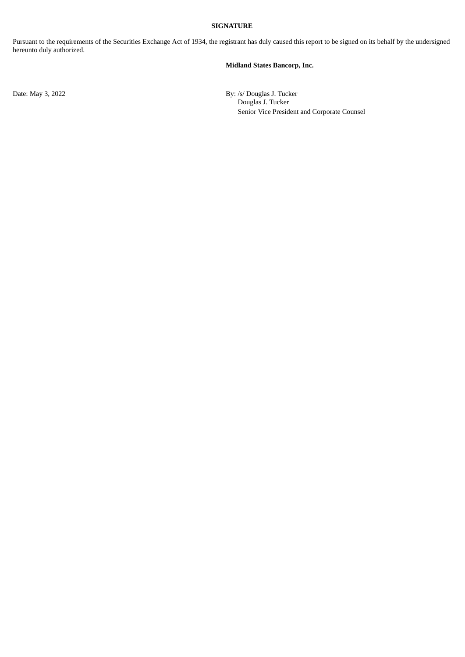### **SIGNATURE**

Pursuant to the requirements of the Securities Exchange Act of 1934, the registrant has duly caused this report to be signed on its behalf by the undersigned hereunto duly authorized.

#### **Midland States Bancorp, Inc.**

Date: May 3, 2022 By: /s/ Douglas J. Tucker Douglas J. Tucker Senior Vice President and Corporate Counsel